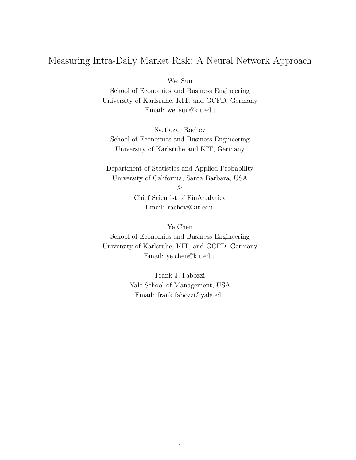# Measuring Intra-Daily Market Risk: A Neural Network Approach

Wei Sun

School of Economics and Business Engineering University of Karlsruhe, KIT, and GCFD, Germany Email: wei.sun@kit.edu

Svetlozar Rachev School of Economics and Business Engineering University of Karlsruhe and KIT, Germany

Department of Statistics and Applied Probability University of California, Santa Barbara, USA

&

Chief Scientist of FinAnalytica Email: rachev@kit.edu.

Ye Chen

School of Economics and Business Engineering University of Karlsruhe, KIT, and GCFD, Germany Email: ye.chen@kit.edu.

> Frank J. Fabozzi Yale School of Management, USA Email: frank.fabozzi@yale.edu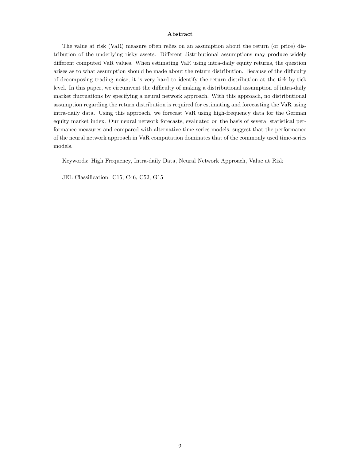#### Abstract

The value at risk (VaR) measure often relies on an assumption about the return (or price) distribution of the underlying risky assets. Different distributional assumptions may produce widely different computed VaR values. When estimating VaR using intra-daily equity returns, the question arises as to what assumption should be made about the return distribution. Because of the difficulty of decomposing trading noise, it is very hard to identify the return distribution at the tick-by-tick level. In this paper, we circumvent the difficulty of making a distributional assumption of intra-daily market fluctuations by specifying a neural network approach. With this approach, no distributional assumption regarding the return distribution is required for estimating and forecasting the VaR using intra-daily data. Using this approach, we forecast VaR using high-frequency data for the German equity market index. Our neural network forecasts, evaluated on the basis of several statistical performance measures and compared with alternative time-series models, suggest that the performance of the neural network approach in VaR computation dominates that of the commonly used time-series models.

Keywords: High Frequency, Intra-daily Data, Neural Network Approach, Value at Risk

JEL Classification: C15, C46, C52, G15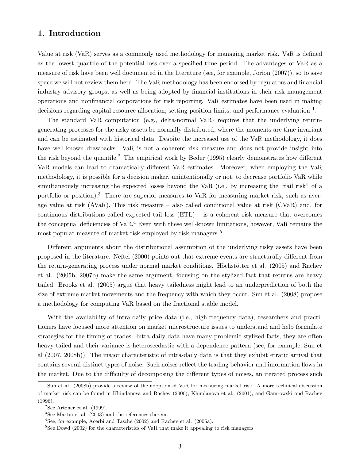## 1. Introduction

Value at risk (VaR) serves as a commonly used methodology for managing market risk. VaR is defined as the lowest quantile of the potential loss over a specified time period. The advantages of VaR as a measure of risk have been well documented in the literature (see, for example, Jorion (2007)), so to save space we will not review them here. The VaR methodology has been endorsed by regulators and financial industry advisory groups, as well as being adopted by financial institutions in their risk management operations and nonfinancial corporations for risk reporting. VaR estimates have been used in making decisions regarding capital resource allocation, setting position limits, and performance evaluation <sup>1</sup>.

The standard VaR computation (e.g., delta-normal VaR) requires that the underlying returngenerating processes for the risky assets be normally distributed, where the moments are time invariant and can be estimated with historical data. Despite the increased use of the VaR methodology, it does have well-known drawbacks. VaR is not a coherent risk measure and does not provide insight into the risk beyond the quantile.<sup>2</sup> The empirical work by Beder (1995) clearly demonstrates how different VaR models can lead to dramatically different VaR estimates. Moreover, when employing the VaR methodology, it is possible for a decision maker, unintentionally or not, to decrease portfolio VaR while simultaneously increasing the expected losses beyond the VaR (i.e., by increasing the "tail risk" of a portfolio or position).<sup>3</sup> There are superior measures to VaR for measuring market risk, such as average value at risk (AVaR). This risk measure – also called conditional value at risk (CVaR) and, for continuous distributions called expected tail loss (ETL) – is a coherent risk measure that overcomes the conceptual deficiencies of  $VaR<sup>4</sup>$  Even with these well-known limitations, however, VaR remains the most popular measure of market risk employed by risk managers <sup>5</sup>.

Different arguments about the distributional assumption of the underlying risky assets have been proposed in the literature. Neftci (2000) points out that extreme events are structurally different from the return-generating process under normal market conditions. Höchstötter et al. (2005) and Rachev et al. (2005b, 2007b) make the same argument, focusing on the stylized fact that returns are heavy tailed. Brooks et al. (2005) argue that heavy tailedness might lead to an underprediction of both the size of extreme market movements and the frequency with which they occur. Sun et al. (2008) propose a methodology for computing VaR based on the fractional stable model.

With the availability of intra-daily price data (i.e., high-frequency data), researchers and practitioners have focused more attention on market microstructure issues to understand and help formulate strategies for the timing of trades. Intra-daily data have many problemic stylized facts, they are often heavy tailed and their variance is heteroscedastic with a dependence pattern (see, for example, Sun et al (2007, 2008b)). The major characteristic of intra-daily data is that they exhibit erratic arrival that contains several distinct types of noise. Such noises reflect the trading behavior and information flows in the market. Due to the difficulty of decomposing the different types of noises, an iterated process such

<sup>&</sup>lt;sup>1</sup>Sun et al. (2008b) provide a review of the adoption of VaR for measuring market risk. A more technical discussion of market risk can be found in Khindanova and Rachev (2000), Khindanova et al. (2001), and Gamrowski and Rachev (1996).

 $2$ See Artzner et al. (1999).

 $3$ See Martin et al. (2003) and the references therein.

<sup>4</sup>See, for example, Acerbi and Tasche (2002) and Rachev et al. (2005a).

 $5$ See Dowd (2002) for the characteristics of VaR that make it appealing to risk managers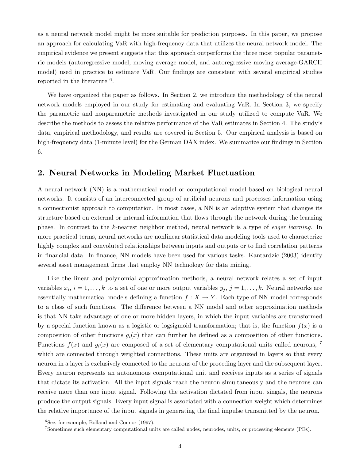as a neural network model might be more suitable for prediction purposes. In this paper, we propose an approach for calculating VaR with high-frequency data that utilizes the neural network model. The empirical evidence we present suggests that this approach outperforms the three most popular parametric models (autoregressive model, moving average model, and autoregressive moving average-GARCH model) used in practice to estimate VaR. Our findings are consistent with several empirical studies reported in the literature  $6$ .

We have organized the paper as follows. In Section 2, we introduce the methodology of the neural network models employed in our study for estimating and evaluating VaR. In Section 3, we specify the parametric and nonparametric methods investigated in our study utilized to compute VaR. We describe the methods to assess the relative performance of the VaR estimates in Section 4. The study's data, empirical methodology, and results are covered in Section 5. Our empirical analysis is based on high-frequency data (1-minute level) for the German DAX index. We summarize our findings in Section 6.

### 2. Neural Networks in Modeling Market Fluctuation

A neural network (NN) is a mathematical model or computational model based on biological neural networks. It consists of an interconnected group of artificial neurons and processes information using a connectionist approach to computation. In most cases, a NN is an adaptive system that changes its structure based on external or internal information that flows through the network during the learning phase. In contrast to the k-nearest neighbor method, neural network is a type of eager learning. In more practical terms, neural networks are nonlinear statistical data modeling tools used to characterize highly complex and convoluted relationships between inputs and outputs or to find correlation patterns in financial data. In finance, NN models have been used for various tasks. Kantardzic (2003) identify several asset management firms that employ NN technology for data mining.

Like the linear and polynomial approximation methods, a neural network relates a set of input variables  $x_i$ ,  $i = 1, \ldots, k$  to a set of one or more output variables  $y_j$ ,  $j = 1, \ldots, k$ . Neural networks are essentially mathematical models defining a function  $f: X \to Y$ . Each type of NN model corresponds to a class of such functions. The difference between a NN model and other approximation methods is that NN take advantage of one or more hidden layers, in which the input variables are transformed by a special function known as a logistic or logsigmoid transformation; that is, the function  $f(x)$  is a composition of other functions  $g_i(x)$  that can further be defined as a composition of other functions. Functions  $f(x)$  and  $g_i(x)$  are composed of a set of elementary computational units called neurons, <sup>7</sup> which are connected through weighted connections. These units are organized in layers so that every neuron in a layer is exclusively connected to the neurons of the proceding layer and the subsequent layer. Every neuron represents an autonomous computational unit and receives inputs as a series of signals that dictate its activation. All the input signals reach the neuron simultaneously and the neurons can receive more than one input signal. Following the activation dictated from input singals, the neurons produce the output signals. Every input signal is associated with a connection weight which determines the relative importance of the input signals in generating the final impulse transmitted by the neuron.

 ${}^{6}$ See, for example, Bolland and Connor (1997).

<sup>7</sup>Sometimes such elementary computational units are called nodes, neurodes, units, or processing elements (PEs).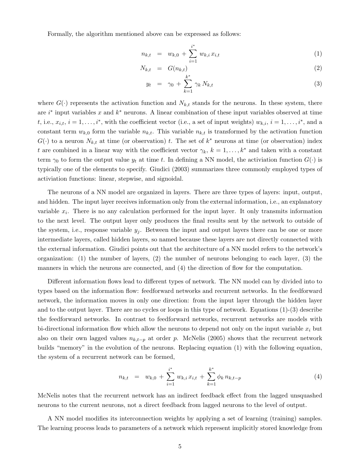Formally, the algorithm mentioned above can be expressed as follows:

$$
n_{k,t} = w_{k,0} + \sum_{i=1}^{i^*} w_{k,i} x_{i,t}
$$
 (1)

$$
N_{k,t} = G(n_{k,t}) \tag{2}
$$

$$
y_t = \gamma_0 + \sum_{k=1}^{k^*} \gamma_k N_{k,t} \tag{3}
$$

where  $G(\cdot)$  represents the activation function and  $N_{k,t}$  stands for the neurons. In these system, there are  $i^*$  input variables x and  $k^*$  neurons. A linear combination of these input variables observed at time t, i.e.,  $x_{i,t}$ ,  $i = 1, \ldots, i^*$ , with the coefficient vector (i.e., a set of input weights)  $w_{k,i}$ ,  $i = 1, \ldots, i^*$ , and a constant term  $w_{k,0}$  form the variable  $n_{k,t}$ . This variable  $n_{k,t}$  is transformed by the activation function  $G(\cdot)$  to a neuron  $N_{k,t}$  at time (or observation) t. The set of  $k^*$  neurons at time (or observation) index t are combined in a linear way with the coefficient vector  $\gamma_k$ ,  $k = 1, \ldots, k^*$  and taken with a constant term  $\gamma_0$  to form the output value  $y_t$  at time t. In defining a NN model, the activiation function  $G(\cdot)$  is typically one of the elements to specify. Giudici (2003) summarizes three commonly employed types of activiation functions: linear, stepwise, and signoidal.

The neurons of a NN model are organized in layers. There are three types of layers: input, output, and hidden. The input layer receives information only from the external information, i.e., an explanatory variable  $x_i$ . There is no any calculation performed for the input layer. It only transmits information to the next level. The output layer only produces the final results sent by the network to outside of the system, i.e., response variable  $y_j$ . Between the input and output layers there can be one or more intermediate layers, called hidden layers, so named because these layers are not directly connected with the external information. Giudici points out that the architecture of a NN model refers to the network's organization: (1) the number of layers, (2) the number of neurons belonging to each layer, (3) the manners in which the neurons are connected, and (4) the direction of flow for the computation.

Different information flows lead to different types of network. The NN model can by divided into to types based on the information flow: feedforward networks and recurrent networks. In the feedforward network, the information moves in only one direction: from the input layer through the hidden layer and to the output layer. There are no cycles or loops in this type of network. Equations (1)-(3) describe the feedforward networks. In contrast to feedforward networks, recurrent networks are models with bi-directional information flow which allow the neurons to depend not only on the input variable  $x_i$  but also on their own lagged values  $n_{k,t-p}$  at order p. McNelis (2005) shows that the recurrent network builds "memory" in the evolution of the neurons. Replacing equation (1) with the following equation, the system of a recurrent network can be formed,

$$
n_{k,t} = w_{k,0} + \sum_{i=1}^{i^*} w_{k,i} x_{i,t} + \sum_{k=1}^{k^*} \phi_k n_{k,t-p}
$$
 (4)

McNelis notes that the recurrent network has an indirect feedback effect from the lagged unsquashed neurons to the current neurons, not a direct feedback from lagged neurons to the level of output.

A NN model modifies its interconnection weights by applying a set of learning (training) samples. The learning process leads to parameters of a network which represent implicitly stored knowledge from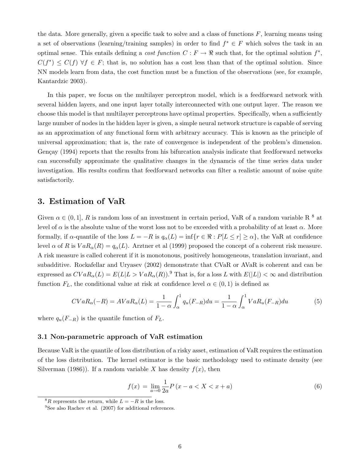the data. More generally, given a specific task to solve and a class of functions  $F$ , learning means using a set of observations (learning/training samples) in order to find  $f^* \in F$  which solves the task in an optimal sense. This entails defining a cost function  $C : F \to \mathbb{R}$  such that, for the optimal solution  $f^*$ ,  $C(f^*) \leq C(f)$   $\forall f \in F$ ; that is, no solution has a cost less than that of the optimal solution. Since NN models learn from data, the cost function must be a function of the observations (see, for example, Kantardzic 2003).

In this paper, we focus on the multilayer perceptron model, which is a feedforward network with several hidden layers, and one input layer totally interconnected with one output layer. The reason we choose this model is that multilayer perceptrons have optimal properties. Specifically, when a sufficiently large number of nodes in the hidden layer is given, a simple neural network structure is capable of serving as an approximation of any functional form with arbitrary accuracy. This is known as the principle of universal approximation; that is, the rate of convergence is independent of the problem's dimension. Gençay (1994) reports that the results from his bifurcation analysis indicate that feedforward networks can successfully approximate the qualitative changes in the dynamcis of the time series data under investigation. His results confirm that feedforward networks can filter a realistic amount of noise quite satisfactorily.

### 3. Estimation of VaR

Given  $\alpha \in (0,1], R$  is random loss of an investment in certain period, VaR of a random variable R  $^8$  at level of  $\alpha$  is the absolute value of the worst loss not to be exceeded with a probability of at least  $\alpha$ . More formally, if  $\alpha$ -quantile of the loss  $L = -R$  is  $q_\alpha(L) = \inf\{r \in \Re : P[L \le r] \ge \alpha\}$ , the VaR at confidence level  $\alpha$  of R is  $VaR_{\alpha}(R) = q_{\alpha}(L)$ . Arztner et al (1999) proposed the concept of a coherent risk measure. A risk measure is called coherent if it is monotonous, positively homogeneous, translation invariant, and subadditive. Rockafellar and Uryasev (2002) demonstrate that CVaR or AVaR is coherent and can be expressed as  $CVaR_{\alpha}(L) = E(L|L > VaR_{\alpha}(R))$ .<sup>9</sup> That is, for a loss L with  $E(|L|) < \infty$  and distribution function  $F_L$ , the conditional value at risk at confidence level  $\alpha \in (0,1)$  is defined as

$$
CVaR_{\alpha}(-R) = AVaR_{\alpha}(L) = \frac{1}{1-\alpha} \int_{\alpha}^{1} q_u(F_{-R}) du = \frac{1}{1-\alpha} \int_{\alpha}^{1} VaR_u(F_{-R}) du \tag{5}
$$

where  $q_u(F_{-R})$  is the quantile function of  $F_L$ .

#### 3.1 Non-parametric approach of VaR estimation

Because VaR is the quantile of loss distribution of a risky asset, estimation of VaR requires the estimation of the loss distribution. The kernel estimator is the basic methodology used to estimate density (see Silverman (1986)). If a random variable X has density  $f(x)$ , then

$$
f(x) = \lim_{a \to 0} \frac{1}{2a} P(x - a < X < x + a) \tag{6}
$$

<sup>&</sup>lt;sup>8</sup>R represents the return, while  $L = -R$  is the loss.

<sup>&</sup>lt;sup>9</sup>See also Rachev et al. (2007) for additional references.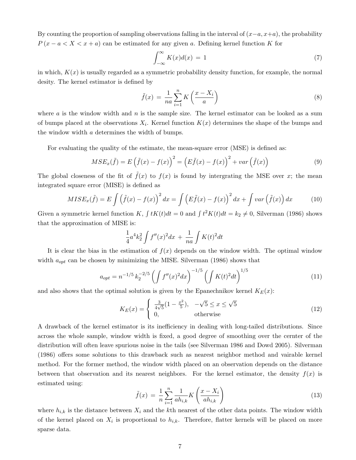By counting the proportion of sampling observations falling in the interval of  $(x-a, x+a)$ , the probability  $P(x - a < X < x + a)$  can be estimated for any given a. Defining kernel function K for

$$
\int_{-\infty}^{\infty} K(x)d(x) = 1
$$
\n(7)

in which,  $K(x)$  is usually regarded as a symmetric probability density function, for example, the normal desity. The kernel estimator is defined by

$$
\tilde{f}(x) = \frac{1}{na} \sum_{i=1}^{n} K\left(\frac{x - X_i}{a}\right)
$$
\n(8)

where a is the window width and n is the sample size. The kernel estimator can be looked as a sum of bumps placed at the observations  $X_i$ . Kernel function  $K(x)$  determines the shape of the bumps and the window width a determines the width of bumps.

For evaluating the quality of the estimate, the mean-square error (MSE) is defined as:

$$
MSE_x(\tilde{f}) = E(\tilde{f}(x) - f(x))^2 = (E\tilde{f}(x) - f(x))^2 + var(\tilde{f}(x))
$$
\n(9)

The global closeness of the fit of  $f(x)$  to  $f(x)$  is found by intergrating the MSE over x; the mean integrated square error (MISE) is defined as

$$
MISE_x(\tilde{f}) = E \int (\tilde{f}(x) - f(x))^2 dx = \int (E\tilde{f}(x) - f(x))^2 dx + \int var(\tilde{f}(x)) dx \qquad (10)
$$

Given a symmetric kernel function K,  $\int tK(t)dt = 0$  and  $\int t^2K(t)dt = k_2 \neq 0$ , Silverman (1986) shows that the approximation of MISE is:

$$
\frac{1}{4}a^4k_2^2 \int f''(x)^2 dx + \frac{1}{na} \int K(t)^2 dt
$$

It is clear the bias in the estimation of  $f(x)$  depends on the window width. The optimal window width  $a_{opt}$  can be chosen by minimizing the MISE. Silverman (1986) shows that

$$
a_{opt} = n^{-1/5} k_2^{-2/5} \left( \int f''(x)^2 dx \right)^{-1/5} \left( \int K(t)^2 dt \right)^{1/5} \tag{11}
$$

and also shows that the optimal solution is given by the Epanechnikov kernel  $K_F(x)$ :

$$
K_E(x) = \begin{cases} \frac{3}{4\sqrt{5}}(1 - \frac{x^2}{5}), & -\sqrt{5} \le x \le \sqrt{5} \\ 0, & \text{otherwise} \end{cases}
$$
(12)

A drawback of the kernel estimator is its inefficiency in dealing with long-tailed distributions. Since across the whole sample, window width is fixed, a good degree of smoothing over the cernter of the distribution will often leave spurious noise in the tails (see Silverman 1986 and Dowd 2005). Silverman (1986) offers some solutions to this drawback such as nearest neighbor method and vairable kernel method. For the former method, the window width placed on an observation depends on the distance between that observation and its nearest neighbors. For the kernel estimator, the density  $f(x)$  is estimated using:

$$
\tilde{f}(x) = \frac{1}{n} \sum_{i=1}^{n} \frac{1}{ah_{i,k}} K\left(\frac{x - X_i}{ah_{i,k}}\right)
$$
\n(13)

where  $h_{i,k}$  is the distance between  $X_i$  and the kth nearest of the other data points. The window width of the kernel placed on  $X_i$  is proportional to  $h_{i,k}$ . Therefore, flatter kernels will be placed on more sparse data.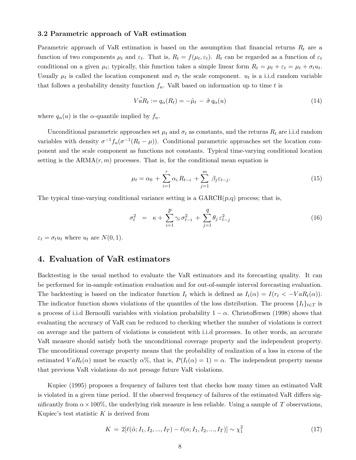#### 3.2 Parametric approach of VaR estimation

Parametric approach of VaR estimation is based on the assumption that financial returns  $R_t$  are a function of two components  $\mu_t$  and  $\varepsilon_t$ . That is,  $R_t = f(\mu_t, \varepsilon_t)$ .  $R_t$  can be regarded as a function of  $\varepsilon_t$ conditional on a given  $\mu_t$ ; typically, this function takes a simple linear form  $R_t = \mu_t + \varepsilon_t = \mu_t + \sigma_t u_t$ . Usually  $\mu_t$  is called the location component and  $\sigma_t$  the scale component.  $u_t$  is a i.i.d random variable that follows a probability density function  $f_u$ . VaR based on information up to time t is

$$
V\tilde{a}R_t := q_\alpha(R_t) = -\tilde{\mu}_t - \tilde{\sigma}q_\alpha(u) \tag{14}
$$

where  $q_{\alpha}(u)$  is the  $\alpha$ -quantile implied by  $f_u$ .

Unconditional parametric approaches set  $\mu_t$  and  $\sigma_t$  as constants, and the returns  $R_t$  are i.i.d random variables with density  $\sigma^{-1} f_u(\sigma^{-1}(R_t - \mu))$ . Conditional parametric approaches set the location component and the scale component as functions not constants. Typical time-varying conditional location setting is the  $ARMA(r, m)$  processes. That is, for the conditional mean equation is

$$
\mu_t = \alpha_0 + \sum_{i=1}^r \alpha_i R_{t-i} + \sum_{j=1}^m \beta_j \varepsilon_{t-j}.
$$
\n(15)

The typical time-varying conditional variance setting is a  $GARCH(p,q)$  process; that is,

$$
\sigma_t^2 = \kappa + \sum_{i=1}^p \gamma_i \sigma_{t-i}^2 + \sum_{j=1}^q \theta_j \varepsilon_{t-j}^2 \tag{16}
$$

 $\varepsilon_t = \sigma_t u_t$  where  $u_t$  are  $N(0, 1)$ .

### 4. Evaluation of VaR estimators

Backtesting is the usual method to evaluate the VaR estimators and its forecasting quality. It can be performed for in-sample estimation evaluation and for out-of-sample interval forecasting evaluation. The backtesting is based on the indicator function  $I_t$  which is defined as  $I_t(\alpha) = I(r_t < -VaR_t(\alpha))$ . The indicator function shows violations of the quantiles of the loss distribution. The process  $\{I_t\}_{t\in\mathcal{T}}$  is a process of i.i.d Bernoulli variables with violation probability  $1 - \alpha$ . Christoffersen (1998) shows that evaluating the accuracy of VaR can be reduced to checking whether the number of violations is correct on average and the pattern of violations is consistent with i.i.d processes. In other words, an accurate VaR measure should satisfy both the unconditional coverage property and the independent property. The unconditional coverage property means that the probability of realization of a loss in excess of the estimated  $VaR_t(\alpha)$  must be exactly  $\alpha\%$ , that is,  $P(I_t(\alpha) = 1) = \alpha$ . The independent property means that previous VaR violations do not presage future VaR violations.

Kupiec (1995) proposes a frequency of failures test that checks how many times an estimated VaR is violated in a given time period. If the observed frequency of failures of the estimated VaR differs significantly from  $\alpha \times 100\%$ , the underlying risk measure is less reliable. Using a sample of T observations, Kupiec's test statistic  $K$  is derived from

$$
K = 2[\ell(\tilde{\alpha}; I_1, I_2, ..., I_T) - \ell(\alpha; I_1, I_2, ..., I_T)] \sim \chi_1^2
$$
\n(17)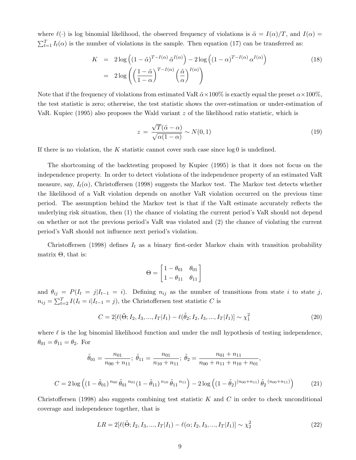where  $\ell(\cdot)$  is log binomial likelihood, the observed frequency of violations is  $\tilde{\alpha} = I(\alpha)/T$ , and  $I(\alpha) =$  $\sum_{t=1}^{T} I_t(\alpha)$  is the number of violations in the sample. Then equation (17) can be transferred as:

$$
K = 2 \log \left( (1 - \tilde{\alpha})^{T - I(\alpha)} \tilde{\alpha}^{I(\alpha)} \right) - 2 \log \left( (1 - \alpha)^{T - I(\alpha)} \alpha^{I(\alpha)} \right)
$$
  
= 
$$
2 \log \left( \left( \frac{1 - \tilde{\alpha}}{1 - \alpha} \right)^{T - I(\alpha)} \left( \frac{\tilde{\alpha}}{\alpha} \right)^{I(\alpha)} \right)
$$
 (18)

Note that if the frequency of violations from estimated VaR  $\tilde{\alpha} \times 100\%$  is exactly equal the preset  $\alpha \times 100\%$ , the test statistic is zero; otherwise, the test statistic shows the over-estimation or under-estimation of VaR. Kupiec (1995) also proposes the Wald variant  $z$  of the likelihood ratio statistic, which is

$$
z = \frac{\sqrt{T}(\tilde{\alpha} - \alpha)}{\sqrt{\alpha(1 - \alpha)}} \sim N(0, 1)
$$
\n(19)

If there is no violation, the K statistic cannot cover such case since  $log 0$  is undefined.

The shortcoming of the backtesting proposed by Kupiec (1995) is that it does not focus on the independence property. In order to detect violations of the independence property of an estimated VaR measure, say,  $I_t(\alpha)$ , Christoffersen (1998) suggests the Markov test. The Markov test detects whether the likelihood of a VaR violation depends on another VaR violation occurred on the previous time period. The assumption behind the Markov test is that if the VaR estimate accurately reflects the underlying risk situation, then (1) the chance of violating the current period's VaR should not depend on whether or not the previous period's VaR was violated and (2) the chance of violating the current period's VaR should not influence next period's violation.

Christoffersen (1998) defines  $I_t$  as a binary first-order Markov chain with transition probability matrix  $Θ$ , that is:

$$
\Theta = \begin{bmatrix} 1 - \theta_{01} & \theta_{01} \\ 1 - \theta_{11} & \theta_{11} \end{bmatrix}
$$

and  $\theta_{ij} = P(I_t = j | I_{t-1} = i)$ . Defining  $n_{ij}$  as the number of transitions from state i to state j,  $n_{ij} = \sum_{t=2}^{T} I(I_t = i | I_{t-1} = j)$ , the Christoffersen test statistic C is

$$
C = 2[\ell(\tilde{\Theta}; I_2, I_3, ..., I_T | I_1) - \ell(\tilde{\theta}_2; I_2, I_3, ..., I_T | I_1)] \sim \chi_1^2
$$
\n(20)

where  $\ell$  is the log binomial likelihood function and under the null hypothesis of testing independence,  $\theta_{01} = \theta_{11} = \theta_2$ . For

$$
\tilde{\theta}_{01} = \frac{n_{01}}{n_{00} + n_{11}}; \; \tilde{\theta}_{11} = \frac{n_{01}}{n_{10} + n_{11}}; \; \tilde{\theta}_{2} = \frac{n_{01} + n_{11}}{n_{00} + n_{11} + n_{10} + n_{01}},
$$
\n
$$
= 2 \log \left( (1 - \tilde{\theta}_{01})^{n_{00}} \tilde{\theta}_{01}^{n_{01}} (1 - \tilde{\theta}_{11})^{n_{10}} \tilde{\theta}_{11}^{n_{11}} \right) - 2 \log \left( (1 - \tilde{\theta}_{2})^{(n_{00} + n_{11})} \tilde{\theta}_{2}^{(n_{00} + n_{11})} \right) \tag{21}
$$

Christoffersen (1998) also suggests combining test statistic  $K$  and  $C$  in order to check unconditional coverage and independence together, that is

 $C$ 

$$
LR = 2[\ell(\tilde{\Theta}; I_2, I_3, ..., I_T | I_1) - \ell(\alpha; I_2, I_3, ..., I_T | I_1)] \sim \chi_2^2
$$
\n(22)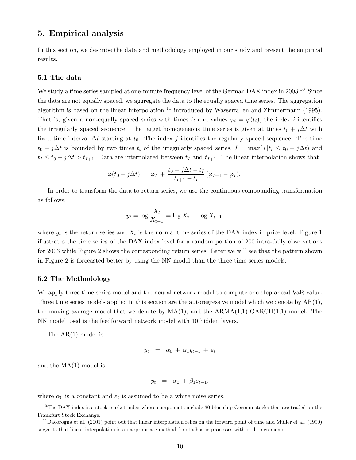### 5. Empirical analysis

In this section, we describe the data and methodology employed in our study and present the empirical results.

#### 5.1 The data

We study a time series sampled at one-minute frequency level of the German DAX index in 2003.<sup>10</sup> Since the data are not equally spaced, we aggregate the data to the equally spaced time series. The aggregation algorithm is based on the linear interpolation <sup>11</sup> introduced by Wasserfallen and Zimmermann (1995). That is, given a non-equally spaced series with times  $t_i$  and values  $\varphi_i = \varphi(t_i)$ , the index i identifies the irregularly spaced sequence. The target homogeneous time series is given at times  $t_0 + j\Delta t$  with fixed time interval  $\Delta t$  starting at  $t_0$ . The index j identifies the regularly spaced sequence. The time  $t_0 + j\Delta t$  is bounded by two times  $t_i$  of the irregularly spaced series,  $I = \max(i|t_i \le t_0 + j\Delta t)$  and  $t_1 \le t_0 + j\Delta t > t_{I+1}$ . Data are interpolated between  $t_I$  and  $t_{I+1}$ . The linear interpolation shows that

$$
\varphi(t_0+j\Delta t) = \varphi_I + \frac{t_0+j\Delta t - t_I}{t_{I+1} - t_I} (\varphi_{I+1} - \varphi_I).
$$

In order to transform the data to return series, we use the continuous compounding transformation as follows:

$$
y_t = \log \frac{X_t}{X_{t-1}} = \log X_t - \log X_{t-1}
$$

where  $y_t$  is the return series and  $X_t$  is the normal time series of the DAX index in price level. Figure 1 illustrates the time series of the DAX index level for a random portion of 200 intra-daily observations for 2003 while Figure 2 shows the corresponding return series. Later we will see that the pattern shown in Figure 2 is forecasted better by using the NN model than the three time series models.

#### 5.2 The Methodology

We apply three time series model and the neural network model to compute one-step ahead VaR value. Three time series models applied in this section are the autoregressive model which we denote by  $AR(1)$ , the moving average model that we denote by  $MA(1)$ , and the  $ARMA(1,1)-GARCH(1,1)$  model. The NN model used is the feedforward network model with 10 hidden layers.

The AR(1) model is

$$
y_t = \alpha_0 + \alpha_1 y_{t-1} + \varepsilon_t
$$

and the MA(1) model is

$$
y_t = \alpha_0 + \beta_1 \varepsilon_{t-1},
$$

where  $\alpha_0$  is a constant and  $\varepsilon_t$  is assumed to be a white noise series.

<sup>&</sup>lt;sup>10</sup>The DAX index is a stock market index whose components include 30 blue chip German stocks that are traded on the Frankfurt Stock Exchange.

 $11$ Dacorogna et al. (2001) point out that linear interpolation relies on the forward point of time and Müller et al. (1990) suggests that linear interpolation is an appropriate method for stochastic processes with i.i.d. increments.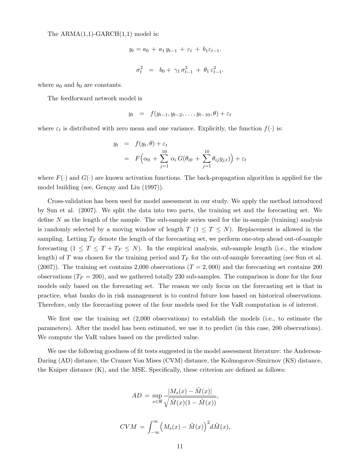The  $ARMA(1,1)-GARCH(1,1)$  model is:

$$
y_t = a_0 + a_1 y_{t-1} + \varepsilon_t + b_1 \varepsilon_{t-1}.
$$
  

$$
\sigma_t^2 = b_0 + \gamma_1 \sigma_{t-1}^2 + \theta_1 \varepsilon_{t-1}^2.
$$

where  $a_0$  and  $b_0$  are constants.

The feedforward network model is

$$
y_t = f(y_{t-1}, y_{t-2}, \dots, y_{t-10}, \theta) + \varepsilon_t
$$

where  $\varepsilon_t$  is distributed with zero mean and one variance. Explicitly, the function  $f(\cdot)$  is:

$$
y_t = f(y_t, \theta) + \varepsilon_t
$$
  
=  $F(\alpha_0 + \sum_{j=1}^{10} \alpha_i G(\theta_{i0} + \sum_{j=1}^{10} \theta_{ij} y_{j,t})) + \varepsilon_t$ 

where  $F(\cdot)$  and  $G(\cdot)$  are known activation functions. The back-propagation algorithm is applied for the model building (see, Gençay and Liu (1997)).

Cross-validation has been used for model assessment in our study. We apply the method introduced by Sun et al. (2007). We split the data into two parts, the training set and the forecasting set. We define N as the length of the sample. The sub-sample series used for the in-sample (training) analysis is randomly selected by a moving window of length  $T$  ( $1 \leq T \leq N$ ). Replacement is allowed in the sampling. Letting  $T_F$  denote the length of the forecasting set, we perform one-step ahead out-of-sample forecasting  $(1 \leq T \leq T + T_F \leq N)$ . In the empirical analysis, sub-sample length (i.e., the window length) of T was chosen for the training period and  $T_F$  for the out-of-sample forecasting (see Sun et al.  $(2007)$ . The training set contains 2,000 observations  $(T = 2,000)$  and the forecasting set contains 200 observations ( $T_F = 200$ ), and we gathered totally 230 sub-samples. The comparison is done for the four models only based on the forecasting set. The reason we only focus on the forecasting set is that in practice, what banks do in risk management is to control future loss based on historical observations. Therefore, only the forecasting power of the four models used for the VaR computation is of interest.

We first use the training set (2,000 observations) to establish the models (i.e., to estimate the parameters). After the model has been estimated, we use it to predict (in this case, 200 observations). We compute the VaR values based on the predicted value.

We use the following goodness of fit tests suggested in the model assessment literature: the Anderson-Daring (AD) distance, the Cramer Von Mises (CVM) distance, the Kolmogorov-Simirnov (KS) distance, the Kuiper distance (K), and the MSE. Specifically, these criterion are defined as follows:

$$
AD = \sup_{x \in \mathbb{R}} \frac{|M_s(x) - \tilde{M}(x)|}{\sqrt{\tilde{M}(x)(1 - \tilde{M}(x))}},
$$

$$
CVM = \int_{-\infty}^{\infty} \left( M_s(x) - \tilde{M}(x) \right)^2 d\tilde{M}(x),
$$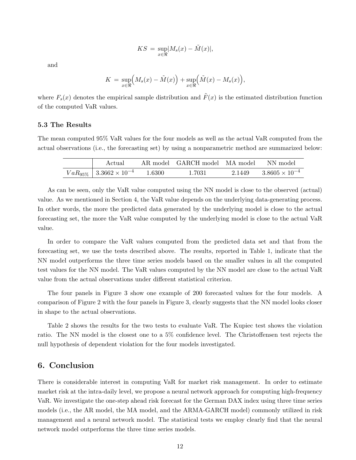$$
KS = \sup_{x \in \mathfrak{R}} |M_s(x) - \tilde{M}(x)|,
$$

and

$$
K = \sup_{x \in \mathfrak{R}} \Big( M_s(x) - \tilde{M}(x) \Big) + \sup_{x \in \mathfrak{R}} \Big( \tilde{M}(x) - M_s(x) \Big),
$$

where  $F_s(x)$  denotes the empirical sample distribution and  $\tilde{F}(x)$  is the estimated distribution function of the computed VaR values.

#### 5.3 The Results

The mean computed 95% VaR values for the four models as well as the actual VaR computed from the actual observations (i.e., the forecasting set) by using a nonparametric method are summarized below:

| Actual                                 |        | AR model GARCH model MA model NN model |        |                         |
|----------------------------------------|--------|----------------------------------------|--------|-------------------------|
| $VaR_{95\%}$   $3.3662 \times 10^{-4}$ | 1.6300 | 1.7031                                 | 2.1449 | $3.8605 \times 10^{-4}$ |

As can be seen, only the VaR value computed using the NN model is close to the observed (actual) value. As we mentioned in Section 4, the VaR value depends on the underlying data-generating process. In other words, the more the predicted data generated by the underlying model is close to the actual forecasting set, the more the VaR value computed by the underlying model is close to the actual VaR value.

In order to compare the VaR values computed from the predicted data set and that from the forecasting set, we use the tests described above. The results, reported in Table 1, indicate that the NN model outperforms the three time series models based on the smaller values in all the computed test values for the NN model. The VaR values computed by the NN model are close to the actual VaR value from the actual observations under different statistical criterion.

The four panels in Figure 3 show one example of 200 forecasted values for the four models. A comparison of Figure 2 with the four panels in Figure 3, clearly suggests that the NN model looks closer in shape to the actual observations.

Table 2 shows the results for the two tests to evaluate VaR. The Kupiec test shows the violation ratio. The NN model is the closest one to a 5% confidence level. The Christoffensen test rejects the null hypothesis of dependent violation for the four models investigated.

### 6. Conclusion

There is considerable interest in computing VaR for market risk management. In order to estimate market risk at the intra-daily level, we propose a neural network approach for computing high-frequency VaR. We investigate the one-step ahead risk forecast for the German DAX index using three time series models (i.e., the AR model, the MA model, and the ARMA-GARCH model) commonly utilized in risk management and a neural network model. The statistical tests we employ clearly find that the neural network model outperforms the three time series models.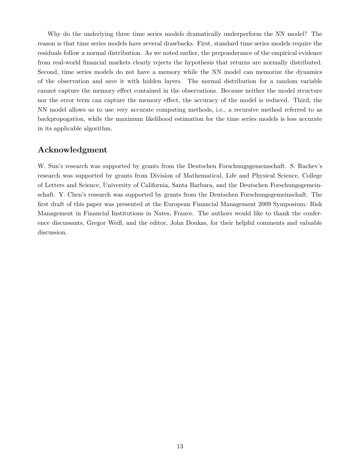Why do the underlying three time series models dramatically underperform the NN model? The reason is that time series models have several drawbacks. First, standard time series models require the residuals follow a normal distribution. As we noted earlier, the preponderance of the empirical evidence from real-world financial markets clearly rejects the hypothesis that returns are normally distributed. Second, time series models do not have a memory while the NN model can memorize the dynamics of the observation and save it with hidden layers. The normal distribution for a random variable cannot capture the memory effect contained in the observations. Because neither the model structure nor the error term can capture the memory effect, the accuracy of the model is reduced. Third, the NN model allows us to use very accurate computing methods, i.e., a recursive method referred to as backpropogation, while the maximum likelihood estimation for the time series models is less accurate in its applicable algorithm.

### Acknowledgment

W. Sun's research was supported by grants from the Deutschen Forschungsgemeinschaft. S. Rachev's research was supported by grants from Division of Mathematical, Life and Physical Science, College of Letters and Science, University of California, Santa Barbara, and the Deutschen Forschungsgemeinschaft. Y. Chen's research was supported by grants from the Deutschen Forschungsgemeinschaft. The first draft of this paper was presented at the European Financial Management 2009 Symposium: Risk Management in Financial Institutions in Nates, France. The authors would like to thank the conference discussants, Gregor Weiß, and the editor, John Doukas, for their helpful comments and valuable discussion.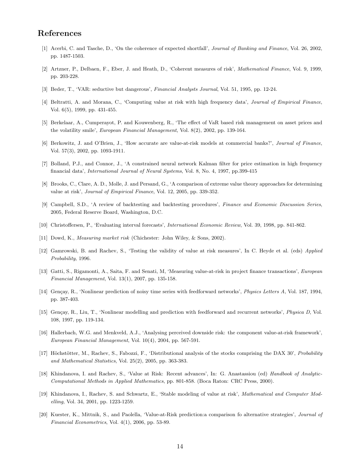### References

- [1] Acerbi, C. and Tasche, D., 'On the coherence of expected shortfall', Journal of Banking and Finance, Vol. 26, 2002, pp. 1487-1503.
- [2] Artzner, P., Delbaen, F., Eber, J. and Heath, D., 'Coherent measures of risk', Mathematical Finance, Vol. 9, 1999, pp. 203-228.
- [3] Beder, T., 'VAR: seductive but dangerous', Financial Analysts Journal, Vol. 51, 1995, pp. 12-24.
- [4] Beltratti, A. and Morana, C., 'Computing value at risk with high frequency data', Journal of Empirical Finance, Vol. 6(5), 1999, pp. 431-455.
- [5] Berkelaar, A., Cumperayot, P. and Kouwenberg, R., 'The effect of VaR based risk management on asset prices and the volatility smile', European Financial Management, Vol. 8(2), 2002, pp. 139-164.
- [6] Berkowitz, J. and O'Brien, J., 'How accurate are value-at-risk models at commercial banks?', Journal of Finance, Vol. 57(3), 2002, pp. 1093-1911.
- [7] Bolland, P.J., and Connor, J., 'A constrained neural network Kalman filter for price estimation in high frequency financial data', International Journal of Neural Systems, Vol. 8, No. 4, 1997, pp.399-415
- [8] Brooks, C., Clare, A. D., Molle, J. and Persand, G., 'A comparison of extreme value theory approaches for determining value at risk', Journal of Empirical Finance, Vol. 12, 2005, pp. 339-352.
- [9] Campbell, S.D., 'A review of backtesting and backtesting procedures', Finance and Economic Discussion Series, 2005, Federal Reserve Board, Washington, D.C.
- [10] Christoffersen, P., 'Evaluating interval forecasts', International Economic Review, Vol. 39, 1998, pp. 841-862.
- [11] Dowd, K., Measuring market risk (Chichester: John Wiley, & Sons, 2002).
- [12] Gamrowski, B. and Rachev, S., 'Testing the validity of value at risk measures', In C. Heyde et al. (eds) Applied Probability, 1996.
- [13] Gatti, S., Rigamonti, A., Saita, F. and Senati, M, 'Measuring value-at-risk in project finance transactions', European Financial Management, Vol. 13(1), 2007, pp. 135-158.
- [14] Gençay, R., 'Nonlinear prediction of noisy time series with feedforward networks', *Physics Letters A*, Vol. 187, 1994, pp. 387-403.
- [15] Gençay, R., Liu, T., 'Nonlinear modelling and prediction with feedforward and recurrent networks', *Physica D*, Vol. 108, 1997, pp. 119-134.
- [16] Hallerbach, W.G. and Menkveld, A.J., 'Analysing perceived downside risk: the component value-at-risk framework', European Financial Management, Vol. 10(4), 2004, pp. 567-591.
- [17] Höchstötter, M., Rachev, S., Fabozzi, F., 'Distributional analysis of the stocks comprising the DAX 30', Probability and Mathematical Statistics, Vol. 25(2), 2005, pp. 363-383.
- [18] Khindanova, I. and Rachev, S., 'Value at Risk: Recent advances', In: G. Anastassiou (ed) Handbook of Analytic-Computational Methods in Applied Mathematics, pp. 801-858. (Boca Raton: CRC Press, 2000).
- [19] Khindanova, I., Rachev, S. and Schwartz, E., 'Stable modeling of value at risk', Mathematical and Computer Modelling, Vol. 34, 2001, pp. 1223-1259.
- [20] Kuester, K., Mittnik, S., and Paolella, 'Value-at-Risk prediction:a comparison fo alternative strategies', Journal of Financial Econometrics, Vol. 4(1), 2006, pp. 53-89.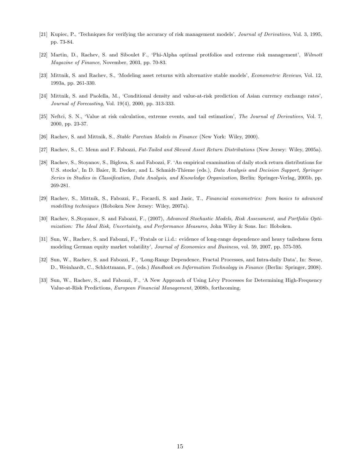- [21] Kupiec, P., 'Techniques for verifying the accuracy of risk management models', Journal of Derivatives, Vol. 3, 1995, pp. 73-84.
- [22] Martin, D., Rachev, S. and Siboulet F., 'Phi-Alpha optimal protfolios and extreme risk management', Wilmott Magazine of Finance, November, 2003, pp. 70-83.
- [23] Mittnik, S. and Rachev, S., 'Modeling asset returns with alternative stable models', Econometric Reviews, Vol. 12, 1993a, pp. 261-330.
- [24] Mittnik, S. and Paolella, M., 'Conditional density and value-at-risk prediction of Asian currency exchange rates', Journal of Forecasting, Vol. 19(4), 2000, pp. 313-333.
- [25] Neftci, S. N., 'Value at risk calculation, extreme events, and tail estimation', The Journal of Derivatives, Vol. 7, 2000, pp. 23-37.
- [26] Rachev, S. and Mittnik, S., Stable Paretian Models in Finance (New York: Wiley, 2000).
- [27] Rachev, S., C. Menn and F. Fabozzi, Fat-Tailed and Skewed Asset Return Distributions (New Jersey: Wiley, 2005a).
- [28] Rachev, S., Stoyanov, S., Biglova, S. and Fabozzi, F. 'An empirical examination of daily stock return distributions for U.S. stocks', In D. Baier, R. Decker, and L. Schmidt-Thieme (eds.), Data Analysis and Decision Support, Springer Series in Studies in Classification, Data Analysis, and Knowledge Organization, Berlin: Springer-Verlag, 2005b, pp. 269-281.
- [29] Rachev, S., Mittnik, S., Fabozzi, F., Focardi, S. and Jasic, T., Financial econometrics: from basics to advanced modelling techniques (Hoboken New Jersey: Wiley, 2007a).
- [30] Rachev, S.,Stoyanov, S. and Fabozzi, F., (2007), Advanced Stochastic Models, Risk Assessment, and Portfolio Optimization: The Ideal Risk, Uncertainty, and Performance Measures, John Wiley & Sons. Inc: Hoboken.
- [31] Sun, W., Rachev, S. and Fabozzi, F., 'Fratals or i.i.d.: evidence of long-range dependence and heavy tailedness form modeling German equity market volatility', Journal of Economics and Business, vol. 59, 2007, pp. 575-595.
- [32] Sun, W., Rachev, S. and Fabozzi, F., 'Long-Range Dependence, Fractal Processes, and Intra-daily Data', In: Seese, D., Weinhardt, C., Schlottmann, F., (eds.) Handbook on Information Technology in Finance (Berlin: Springer, 2008).
- [33] Sun, W., Rachev, S., and Fabozzi, F., 'A New Approach of Using Lévy Processes for Determining High-Frequency Value-at-Risk Predictions, European Financial Management, 2008b, forthcoming.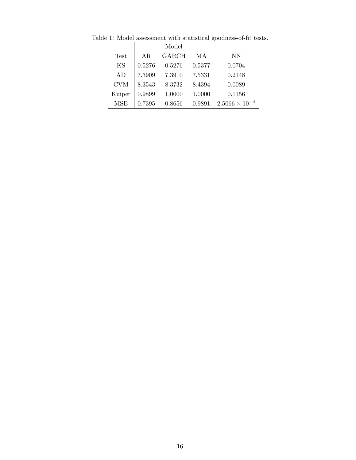|             | Model  |        |        |                         |
|-------------|--------|--------|--------|-------------------------|
| <b>Test</b> | AR.    | GARCH  | МA     | NN                      |
| ΚS          | 0.5276 | 0.5276 | 0.5377 | 0.0704                  |
| AD          | 7.3909 | 7.3910 | 7.5331 | 0.2148                  |
| <b>CVM</b>  | 8.3543 | 8.3732 | 8.4394 | 0.0089                  |
| Kuiper      | 0.9899 | 1.0000 | 1.0000 | 0.1156                  |
| MSE         | 0.7395 | 0.8656 | 0.9891 | $2.5066 \times 10^{-4}$ |

Table 1: Model assessment with statistical goodness-of-fit tests.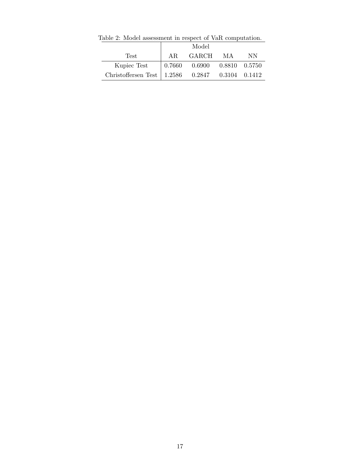|                                                   |     | Model                                                 |      |     |
|---------------------------------------------------|-----|-------------------------------------------------------|------|-----|
| Test                                              | AR. | GARCH                                                 | - MA | NN. |
| Kupiec Test                                       |     | $\vert 0.7660 \quad 0.6900 \quad 0.8810 \quad 0.5750$ |      |     |
| Christoffersen Test   1.2586 0.2847 0.3104 0.1412 |     |                                                       |      |     |

Table 2: Model assessment in respect of VaR computation.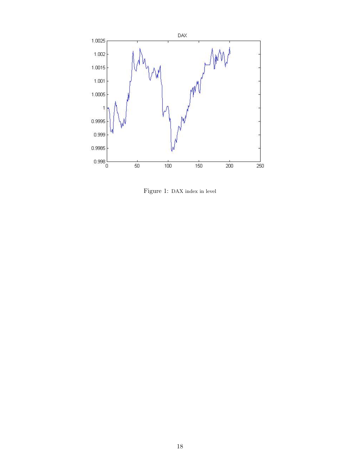

Figure 1: DAX index in level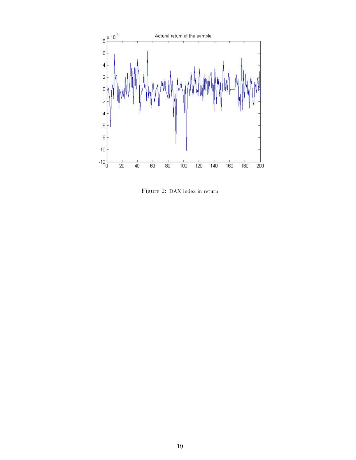

Figure 2: DAX index in return